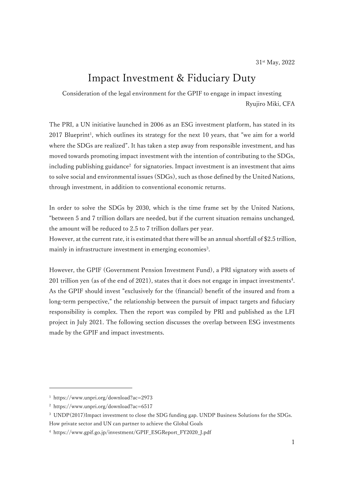# Impact Investment & Fiduciary Duty

Consideration of the legal environment for the GPIF to engage in impact investing Ryujiro Miki, CFA

The PRI, a UN initiative launched in 2006 as an ESG investment platform, has stated in its 2017 Blueprint<sup>1</sup>, which outlines its strategy for the next 10 years, that "we aim for a world where the SDGs are realized". It has taken a step away from responsible investment, and has moved towards promoting impact investment with the intention of contributing to the SDGs, including publishing guidance<sup>2</sup> for signatories. Impact investment is an investment that aims to solve social and environmental issues (SDGs), such as those defined by the United Nations, through investment, in addition to conventional economic returns.

In order to solve the SDGs by 2030, which is the time frame set by the United Nations, "between 5 and 7 trillion dollars are needed, but if the current situation remains unchanged, the amount will be reduced to 2.5 to 7 trillion dollars per year.

However, at the current rate, it is estimated that there will be an annual shortfall of \$2.5 trillion, mainly in infrastructure investment in emerging economies<sup>3</sup>.

However, the GPIF (Government Pension Investment Fund), a PRI signatory with assets of 201 trillion yen (as of the end of 2021), states that it does not engage in impact investments<sup>4</sup> . As the GPIF should invest "exclusively for the (financial) benefit of the insured and from a long-term perspective," the relationship between the pursuit of impact targets and fiduciary responsibility is complex. Then the report was compiled by PRI and published as the LFI project in July 2021. The following section discusses the overlap between ESG investments made by the GPIF and impact investments.

<sup>1</sup> https://www.unpri.org/download?ac=2973

<sup>2</sup> https://www.unpri.org/download?ac=6517

<sup>3</sup> UNDP(2017)Impact investment to close the SDG funding gap. UNDP Business Solutions for the SDGs.

How private sector and UN can partner to achieve the Global Goals

<sup>4</sup> https://www.gpif.go.jp/investment/GPIF\_ESGReport\_FY2020\_J.pdf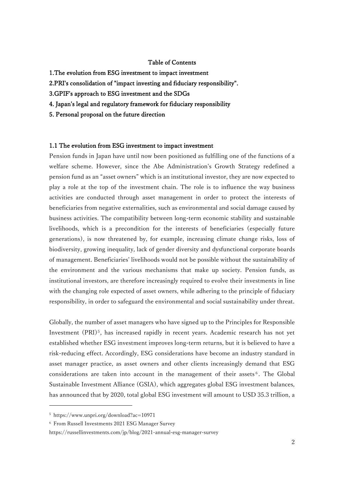### Table of Contents

- 1.The evolution from ESG investment to impact investment
- 2.PRI's consolidation of "impact investing and fiduciary responsibility".
- 3.GPIF's approach to ESG investment and the SDGs
- 4. Japan's legal and regulatory framework for fiduciary responsibility
- 5. Personal proposal on the future direction

#### 1.1 The evolution from ESG investment to impact investment

Pension funds in Japan have until now been positioned as fulfilling one of the functions of a welfare scheme. However, since the Abe Administration's Growth Strategy redefined a pension fund as an "asset owners" which is an institutional investor, they are now expected to play a role at the top of the investment chain. The role is to influence the way business activities are conducted through asset management in order to protect the interests of beneficiaries from negative externalities, such as environmental and social damage caused by business activities. The compatibility between long-term economic stability and sustainable livelihoods, which is a precondition for the interests of beneficiaries (especially future generations), is now threatened by, for example, increasing climate change risks, loss of biodiversity, growing inequality, lack of gender diversity and dysfunctional corporate boards of management. Beneficiaries' livelihoods would not be possible without the sustainability of the environment and the various mechanisms that make up society. Pension funds, as institutional investors, are therefore increasingly required to evolve their investments in line with the changing role expected of asset owners, while adhering to the principle of fiduciary responsibility, in order to safeguard the environmental and social sustainability under threat.

Globally, the number of asset managers who have signed up to the Principles for Responsible Investment (PRI)<sup>5</sup>, has increased rapidly in recent years. Academic research has not yet established whether ESG investment improves long-term returns, but it is believed to have a risk-reducing effect. Accordingly, ESG considerations have become an industry standard in asset manager practice, as asset owners and other clients increasingly demand that ESG considerations are taken into account in the management of their assets<sup>6</sup>. The Global Sustainable Investment Alliance (GSIA), which aggregates global ESG investment balances, has announced that by 2020, total global ESG investment will amount to USD 35.3 trillion, a

<sup>5</sup> https://www.unpri.org/download?ac=10971

<sup>6</sup> From Russell Investments 2021 ESG Manager Survey

https://russellinvestments.com/jp/blog/2021-annual-esg-manager-survey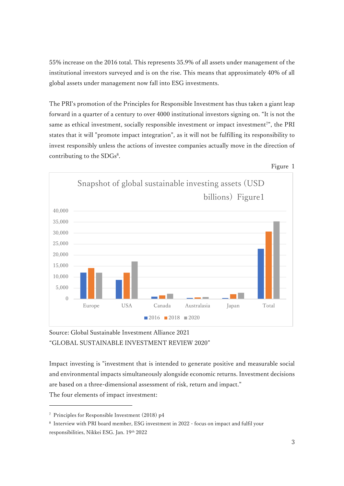55% increase on the 2016 total. This represents 35.9% of all assets under management of the institutional investors surveyed and is on the rise. This means that approximately 40% of all global assets under management now fall into ESG investments.

The PRI's promotion of the Principles for Responsible Investment has thus taken a giant leap forward in a quarter of a century to over 4000 institutional investors signing on. "It is not the same as ethical investment, socially responsible investment or impact investment<sup>7"</sup>, the PRI states that it will "promote impact integration", as it will not be fulfilling its responsibility to invest responsibly unless the actions of investee companies actually move in the direction of contributing to the SDGs<sup>8</sup>.





Source: Global Sustainable Investment Alliance 2021 "GLOBAL SUSTAINABLE INVESTMENT REVIEW 2020"

Impact investing is "investment that is intended to generate positive and measurable social and environmental impacts simultaneously alongside economic returns. Investment decisions are based on a three-dimensional assessment of risk, return and impact." The four elements of impact investment:

<sup>7</sup> Principles for Responsible Investment (2018) p4

<sup>8</sup> Interview with PRI board member, ESG investment in 2022 - focus on impact and fulfil your responsibilities, Nikkei ESG. Jan. 19th 2022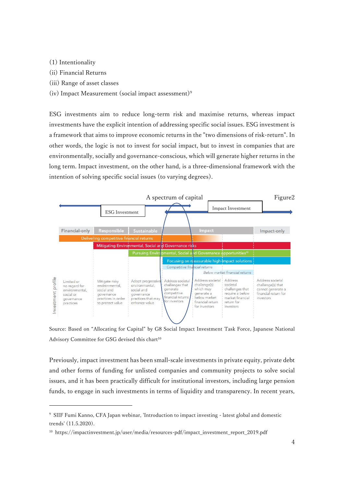- (1) Intentionality
- (ii) Financial Returns
- (iii) Range of asset classes
- (iv) Impact Measurement (social impact assessment)<sup>9</sup>

ESG investments aim to reduce long-term risk and maximise returns, whereas impact investments have the explicit intention of addressing specific social issues. ESG investment is a framework that aims to improve economic returns in the "two dimensions of risk-return". In other words, the logic is not to invest for social impact, but to invest in companies that are environmentally, socially and governance-conscious, which will generate higher returns in the long term. Impact investment, on the other hand, is a three-dimensional framework with the intention of solving specific social issues (to varying degrees).



Source: Based on "Allocating for Capital" by G8 Social Impact Investment Task Force, Japanese National Advisory Committee for GSG devised this chart<sup>10</sup>

Previously, impact investment has been small-scale investments in private equity, private debt and other forms of funding for unlisted companies and community projects to solve social issues, and it has been practically difficult for institutional investors, including large pension funds, to engage in such investments in terms of liquidity and transparency. In recent years,

<sup>9</sup> SIIF Fumi Kanno, CFA Japan webinar, 'Introduction to impact investing - latest global and domestic trends' (11.5.2020).

<sup>10</sup> https://impactinvestment.jp/user/media/resources-pdf/impact\_investment\_report\_2019.pdf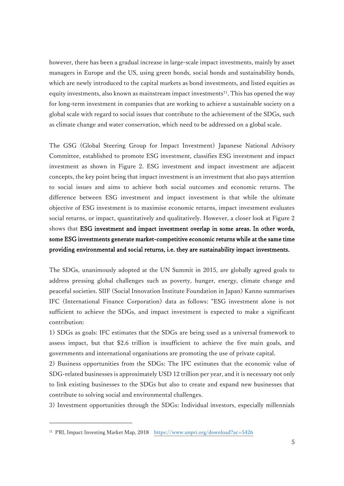however, there has been a gradual increase in large-scale impact investments, mainly by asset managers in Europe and the US, using green bonds, social bonds and sustainability bonds, which are newly introduced to the capital markets as bond investments, and listed equities as equity investments, also known as mainstream impact investments<sup>11</sup>. This has opened the way for long-term investment in companies that are working to achieve a sustainable society on a global scale with regard to social issues that contribute to the achievement of the SDGs, such as climate change and water conservation, which need to be addressed on a global scale.

The GSG (Global Steering Group for Impact Investment) Japanese National Advisory Committee, established to promote ESG investment, classifies ESG investment and impact investment as shown in Figure 2. ESG investment and impact investment are adjacent concepts, the key point being that impact investment is an investment that also pays attention to social issues and aims to achieve both social outcomes and economic returns. The difference between ESG investment and impact investment is that while the ultimate objective of ESG investment is to maximise economic returns, impact investment evaluates social returns, or impact, quantitatively and qualitatively. However, a closer look at Figure 2 shows that ESG investment and impact investment overlap in some areas. In other words, some ESG investments generate market-competitive economic returns while at the same time providing environmental and social returns, i.e. they are sustainability impact investments.

The SDGs, unanimously adopted at the UN Summit in 2015, are globally agreed goals to address pressing global challenges such as poverty, hunger, energy, climate change and peaceful societies. SIIF (Social Innovation Institute Foundation in Japan) Kanno summarises IFC (International Finance Corporation) data as follows: "ESG investment alone is not sufficient to achieve the SDGs, and impact investment is expected to make a significant contribution:

1) SDGs as goals: IFC estimates that the SDGs are being used as a universal framework to assess impact, but that \$2.6 trillion is insufficient to achieve the five main goals, and governments and international organisations are promoting the use of private capital.

2) Business opportunities from the SDGs: The IFC estimates that the economic value of SDG-related businesses is approximately USD 12 trillion per year, and it is necessary not only to link existing businesses to the SDGs but also to create and expand new businesses that contribute to solving social and environmental challenges.

3) Investment opportunities through the SDGs: Individual investors, especially millennials

<sup>11</sup> PRI, Impact Investing Market Map, 2018 <https://www.unpri.org/download?ac=5426>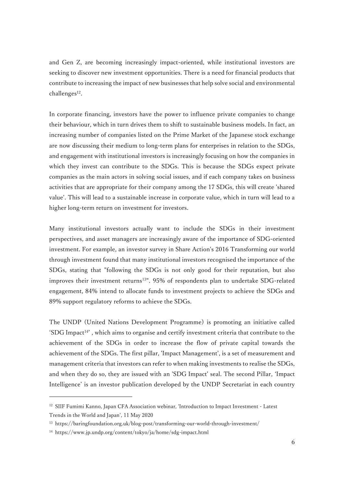and Gen Z, are becoming increasingly impact-oriented, while institutional investors are seeking to discover new investment opportunities. There is a need for financial products that contribute to increasing the impact of new businesses that help solve social and environmental challenges<sup>12</sup>.

In corporate financing, investors have the power to influence private companies to change their behaviour, which in turn drives them to shift to sustainable business models. In fact, an increasing number of companies listed on the Prime Market of the Japanese stock exchange are now discussing their medium to long-term plans for enterprises in relation to the SDGs, and engagement with institutional investors is increasingly focusing on how the companies in which they invest can contribute to the SDGs. This is because the SDGs expect private companies as the main actors in solving social issues, and if each company takes on business activities that are appropriate for their company among the 17 SDGs, this will create 'shared value'. This will lead to a sustainable increase in corporate value, which in turn will lead to a higher long-term return on investment for investors.

Many institutional investors actually want to include the SDGs in their investment perspectives, and asset managers are increasingly aware of the importance of SDG-oriented investment. For example, an investor survey in Share Action's 2016 Transforming our world through investment found that many institutional investors recognised the importance of the SDGs, stating that "following the SDGs is not only good for their reputation, but also improves their investment returns<sup>13"</sup>. 95% of respondents plan to undertake SDG-related engagement, 84% intend to allocate funds to investment projects to achieve the SDGs and 89% support regulatory reforms to achieve the SDGs.

The UNDP (United Nations Development Programme) is promoting an initiative called 'SDG Impact<sup>14</sup>', which aims to organise and certify investment criteria that contribute to the achievement of the SDGs in order to increase the flow of private capital towards the achievement of the SDGs. The first pillar, 'Impact Management', is a set of measurement and management criteria that investors can refer to when making investments to realise the SDGs, and when they do so, they are issued with an 'SDG Impact' seal. The second Pillar, 'Impact Intelligence' is an investor publication developed by the UNDP Secretariat in each country

<sup>&</sup>lt;sup>12</sup> SIIF Fumimi Kanno, Japan CFA Association webinar, 'Introduction to Impact Investment - Latest Trends in the World and Japan', 11 May 2020

<sup>13</sup> https://baringfoundation.org.uk/blog-post/transforming-our-world-through-investment/

<sup>14</sup> https://www.jp.undp.org/content/tokyo/ja/home/sdg-impact.html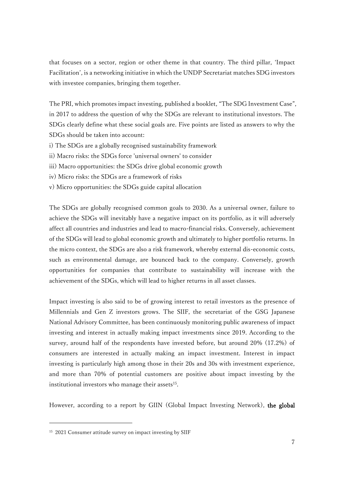that focuses on a sector, region or other theme in that country. The third pillar, 'Impact Facilitation', is a networking initiative in which the UNDP Secretariat matches SDG investors with investee companies, bringing them together.

The PRI, which promotes impact investing, published a booklet, "The SDG Investment Case", in 2017 to address the question of why the SDGs are relevant to institutional investors. The SDGs clearly define what these social goals are. Five points are listed as answers to why the SDGs should be taken into account:

- i) The SDGs are a globally recognised sustainability framework
- ii) Macro risks: the SDGs force 'universal owners' to consider
- iii) Macro opportunities: the SDGs drive global economic growth
- iv) Micro risks: the SDGs are a framework of risks
- v) Micro opportunities: the SDGs guide capital allocation

The SDGs are globally recognised common goals to 2030. As a universal owner, failure to achieve the SDGs will inevitably have a negative impact on its portfolio, as it will adversely affect all countries and industries and lead to macro-financial risks. Conversely, achievement of the SDGs will lead to global economic growth and ultimately to higher portfolio returns. In the micro context, the SDGs are also a risk framework, whereby external dis-economic costs, such as environmental damage, are bounced back to the company. Conversely, growth opportunities for companies that contribute to sustainability will increase with the achievement of the SDGs, which will lead to higher returns in all asset classes.

Impact investing is also said to be of growing interest to retail investors as the presence of Millennials and Gen Z investors grows. The SIIF, the secretariat of the GSG Japanese National Advisory Committee, has been continuously monitoring public awareness of impact investing and interest in actually making impact investments since 2019. According to the survey, around half of the respondents have invested before, but around 20% (17.2%) of consumers are interested in actually making an impact investment. Interest in impact investing is particularly high among those in their 20s and 30s with investment experience, and more than 70% of potential customers are positive about impact investing by the institutional investors who manage their assets $^{15}$ .

However, according to a report by GIIN (Global Impact Investing Network), the global

<sup>&</sup>lt;sup>15</sup> 2021 Consumer attitude survey on impact investing by SIIF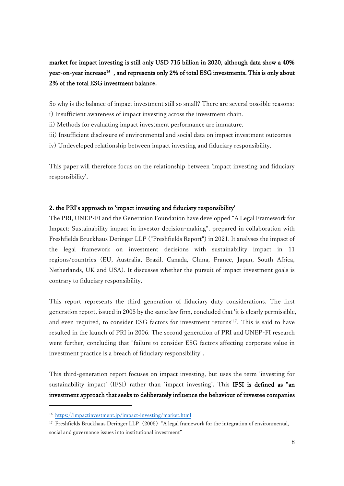# market for impact investing is still only USD 715 billion in 2020, although data show a 40% year-on-year increase<sup>16</sup> , and represents only 2% of total ESG investments. This is only about 2% of the total ESG investment balance.

So why is the balance of impact investment still so small? There are several possible reasons:

- i) Insufficient awareness of impact investing across the investment chain.
- ii) Methods for evaluating impact investment performance are immature.
- iii) Insufficient disclosure of environmental and social data on impact investment outcomes
- iv) Undeveloped relationship between impact investing and fiduciary responsibility.

This paper will therefore focus on the relationship between 'impact investing and fiduciary responsibility'.

# 2. the PRI's approach to 'impact investing and fiduciary responsibility'

The PRI, UNEP-FI and the Generation Foundation have developped "A Legal Framework for Impact: Sustainability impact in investor decision-making", prepared in collaboration with Freshfields Bruckhaus Deringer LLP ("Freshfields Report") in 2021. It analyses the impact of the legal framework on investment decisions with sustainability impact in 11 regions/countries (EU, Australia, Brazil, Canada, China, France, Japan, South Africa, Netherlands, UK and USA). It discusses whether the pursuit of impact investment goals is contrary to fiduciary responsibility.

This report represents the third generation of fiduciary duty considerations. The first generation report, issued in 2005 by the same law firm, concluded that 'it is clearly permissible, and even required, to consider ESG factors for investment returns'17. This is said to have resulted in the launch of PRI in 2006. The second generation of PRI and UNEP-FI research went further, concluding that "failure to consider ESG factors affecting corporate value in investment practice is a breach of fiduciary responsibility".

This third-generation report focuses on impact investing, but uses the term 'investing for sustainability impact' (IFSI) rather than 'impact investing'. This IFSI is defined as "an investment approach that seeks to deliberately influence the behaviour of investee companies

<sup>16</sup> <https://impactinvestment.jp/impact-investing/market.html>

<sup>&</sup>lt;sup>17</sup> Freshfields Bruckhaus Deringer LLP (2005) "A legal framework for the integration of environmental, social and governance issues into institutional investment"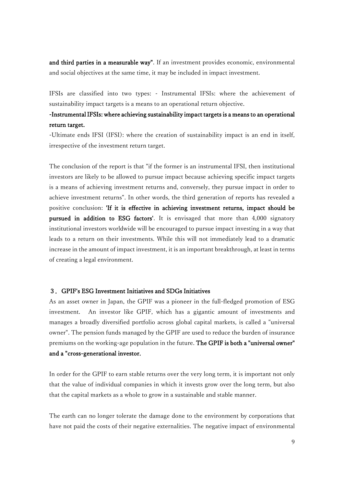and third parties in a measurable way". If an investment provides economic, environmental and social objectives at the same time, it may be included in impact investment.

IFSIs are classified into two types: - Instrumental IFSIs: where the achievement of sustainability impact targets is a means to an operational return objective.

# -Instrumental IFSIs: where achieving sustainability impact targets is a means to an operational return target.

-Ultimate ends IFSI (IFSI): where the creation of sustainability impact is an end in itself, irrespective of the investment return target.

The conclusion of the report is that "if the former is an instrumental IFSI, then institutional investors are likely to be allowed to pursue impact because achieving specific impact targets is a means of achieving investment returns and, conversely, they pursue impact in order to achieve investment returns". In other words, the third generation of reports has revealed a positive conclusion: 'If it is effective in achieving investment returns, impact should be pursued in addition to ESG factors'. It is envisaged that more than 4,000 signatory institutional investors worldwide will be encouraged to pursue impact investing in a way that leads to a return on their investments. While this will not immediately lead to a dramatic increase in the amount of impact investment, it is an important breakthrough, at least in terms of creating a legal environment.

# 3.GPIF's ESG Investment Initiatives and SDGs Initiatives

As an asset owner in Japan, the GPIF was a pioneer in the full-fledged promotion of ESG investment. An investor like GPIF, which has a gigantic amount of investments and manages a broadly diversified portfolio across global capital markets, is called a "universal owner". The pension funds managed by the GPIF are used to reduce the burden of insurance premiums on the working-age population in the future. The GPIF is both a "universal owner" and a "cross-generational investor.

In order for the GPIF to earn stable returns over the very long term, it is important not only that the value of individual companies in which it invests grow over the long term, but also that the capital markets as a whole to grow in a sustainable and stable manner.

The earth can no longer tolerate the damage done to the environment by corporations that have not paid the costs of their negative externalities. The negative impact of environmental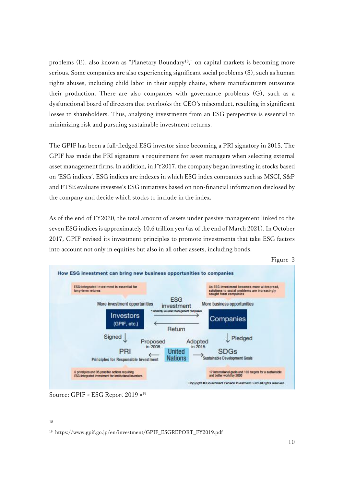problems (E), also known as "Planetary Boundary18," on capital markets is becoming more serious. Some companies are also experiencing significant social problems (S), such as human rights abuses, including child labor in their supply chains, where manufacturers outsource their production. There are also companies with governance problems (G), such as a dysfunctional board of directors that overlooks the CEO's misconduct, resulting in significant losses to shareholders. Thus, analyzing investments from an ESG perspective is essential to minimizing risk and pursuing sustainable investment returns.

The GPIF has been a full-fledged ESG investor since becoming a PRI signatory in 2015. The GPIF has made the PRI signature a requirement for asset managers when selecting external asset management firms. In addition, in FY2017, the company began investing in stocks based on 'ESG indices'. ESG indices are indexes in which ESG index companies such as MSCI, S&P and FTSE evaluate investee's ESG initiatives based on non-financial information disclosed by the company and decide which stocks to include in the index.

As of the end of FY2020, the total amount of assets under passive management linked to the seven ESG indices is approximately 10.6 trillion yen (as of the end of March 2021). In October 2017, GPIF revised its investment principles to promote investments that take ESG factors into account not only in equities but also in all other assets, including bonds.



Source: GPIF « ESG Report 2019 « 19

<sup>18</sup>

<sup>19</sup> https://www.gpif.go.jp/en/investment/GPIF\_ESGREPORT\_FY2019.pdf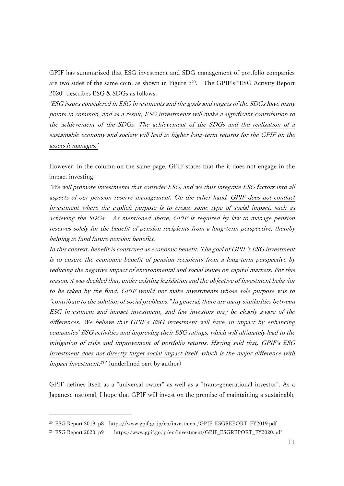GPIF has summarized that ESG investment and SDG management of portfolio companies are two sides of the same coin, as shown in Figure 3 20 . The GPIF's "ESG Activity Report 2020" describes ESG & SDGs as follows:

'ESG issues considered in ESG investments and the goals and targets of the SDGs have many points in common, and as a result, ESG investments will make a significant contribution to the achievement of the SDGs. The achievement of the SDGs and the realization of a sustainable economy and society will lead to higher long-term returns for the GPIF on the assets it manages.'

However, in the column on the same page, GPIF states that the it does not engage in the impact investing:

'We will promote investments that consider ESG, and we thus integrate ESG factors into all aspects of our pension reserve management. On the other hand, GPIF does not conduct investment where the explicit purpose is to create some type of social impact, such as achieving the SDGs. As mentioned above, GPIF is required by law to manage pension reserves solely for the benefit of pension recipients from a long-term perspective, thereby helping to fund future pension benefits.

In this context, benefit is construed as economic benefit. The goal of GPIF's ESG investment is to ensure the economic benefit of pension recipients from a long-term perspective by reducing the negative impact of environmental and social issues on capital markets. For this reason, it was decided that, under existing legislation and the objective of investment behavior to be taken by the fund, GPIF would not make investments whose sole purpose was to "contribute to the solution of social problems." In general, there are many similarities between ESG investment and impact investment, and few investors may be clearly aware of the differences. We believe that GPIF's ESG investment will have an impact by enhancing companies' ESG activities and improving their ESG ratings, which will ultimately lead to the mitigation of risks and improvement of portfolio returns. Having said that, GPIF's ESG investment does not directly target social impact itself, which is the major difference with impact investment.<sup>21</sup>' (underlined part by author)

GPIF defines itself as a "universal owner" as well as a "trans-generational investor". As a Japanese national, I hope that GPIF will invest on the premise of maintaining a sustainable

<sup>20</sup> ESG Report 2019, p8 https://www.gpif.go.jp/en/investment/GPIF\_ESGREPORT\_FY2019.pdf

<sup>21</sup> ESG Report 2020, p9 https://www.gpif.go.jp/en/investment/GPIF\_ESGREPORT\_FY2020.pdf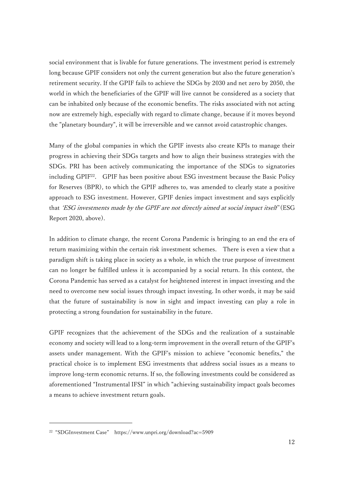social environment that is livable for future generations. The investment period is extremely long because GPIF considers not only the current generation but also the future generation's retirement security. If the GPIF fails to achieve the SDGs by 2030 and net zero by 2050, the world in which the beneficiaries of the GPIF will live cannot be considered as a society that can be inhabited only because of the economic benefits. The risks associated with not acting now are extremely high, especially with regard to climate change, because if it moves beyond the "planetary boundary", it will be irreversible and we cannot avoid catastrophic changes.

Many of the global companies in which the GPIF invests also create KPIs to manage their progress in achieving their SDGs targets and how to align their business strategies with the SDGs. PRI has been actively communicating the importance of the SDGs to signatories including GPIF<sup>22</sup>. GPIF has been positive about ESG investment because the Basic Policy for Reserves (BPR), to which the GPIF adheres to, was amended to clearly state a positive approach to ESG investment. However, GPIF denies impact investment and says explicitly that 'ESG investments made by the GPIF are not directly aimed at social impact itself' (ESG Report 2020, above).

In addition to climate change, the recent Corona Pandemic is bringing to an end the era of return maximizing within the certain risk investment schemes. There is even a view that a paradigm shift is taking place in society as a whole, in which the true purpose of investment can no longer be fulfilled unless it is accompanied by a social return. In this context, the Corona Pandemic has served as a catalyst for heightened interest in impact investing and the need to overcome new social issues through impact investing. In other words, it may be said that the future of sustainability is now in sight and impact investing can play a role in protecting a strong foundation for sustainability in the future.

GPIF recognizes that the achievement of the SDGs and the realization of a sustainable economy and society will lead to a long-term improvement in the overall return of the GPIF's assets under management. With the GPIF's mission to achieve "economic benefits," the practical choice is to implement ESG investments that address social issues as a means to improve long-term economic returns. If so, the following investments could be considered as aforementioned "Instrumental IFSI" in which "achieving sustainability impact goals becomes a means to achieve investment return goals.

<sup>22</sup> "SDGInvestment Case" https://www.unpri.org/download?ac=5909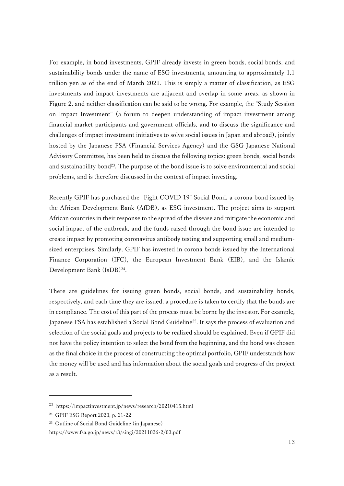For example, in bond investments, GPIF already invests in green bonds, social bonds, and sustainability bonds under the name of ESG investments, amounting to approximately 1.1 trillion yen as of the end of March 2021. This is simply a matter of classification, as ESG investments and impact investments are adjacent and overlap in some areas, as shown in Figure 2, and neither classification can be said to be wrong. For example, the "Study Session on Impact Investment" (a forum to deepen understanding of impact investment among financial market participants and government officials, and to discuss the significance and challenges of impact investment initiatives to solve social issues in Japan and abroad), jointly hosted by the Japanese FSA (Financial Services Agency) and the GSG Japanese National Advisory Committee, has been held to discuss the following topics: green bonds, social bonds and sustainability bond $2<sup>3</sup>$ . The purpose of the bond issue is to solve environmental and social problems, and is therefore discussed in the context of impact investing.

Recently GPIF has purchased the "Fight COVID 19" Social Bond, a corona bond issued by the African Development Bank (AfDB), as ESG investment. The project aims to support African countries in their response to the spread of the disease and mitigate the economic and social impact of the outbreak, and the funds raised through the bond issue are intended to create impact by promoting coronavirus antibody testing and supporting small and mediumsized enterprises. Similarly, GPIF has invested in corona bonds issued by the International Finance Corporation (IFC), the European Investment Bank (EIB), and the Islamic Development Bank (IsDB)<sup>24</sup>.

There are guidelines for issuing green bonds, social bonds, and sustainability bonds, respectively, and each time they are issued, a procedure is taken to certify that the bonds are in compliance. The cost of this part of the process must be borne by the investor. For example, Japanese FSA has established a Social Bond Guideline<sup>25</sup>. It says the process of evaluation and selection of the social goals and projects to be realized should be explained. Even if GPIF did not have the policy intention to select the bond from the beginning, and the bond was chosen as the final choice in the process of constructing the optimal portfolio, GPIF understands how the money will be used and has information about the social goals and progress of the project as a result.

<sup>23</sup> https://impactinvestment.jp/news/research/20210415.html

<sup>24</sup> GPIF ESG Report 2020, p. 21-22

<sup>25</sup> Outline of Social Bond Guideline (in Japanese)

https://www.fsa.go.jp/news/r3/singi/20211026-2/03.pdf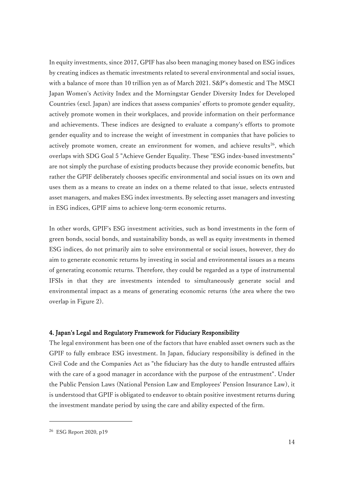In equity investments, since 2017, GPIF has also been managing money based on ESG indices by creating indices as thematic investments related to several environmental and social issues, with a balance of more than 10 trillion yen as of March 2021. S&P's domestic and The MSCI Japan Women's Activity Index and the Morningstar Gender Diversity Index for Developed Countries (excl. Japan) are indices that assess companies' efforts to promote gender equality, actively promote women in their workplaces, and provide information on their performance and achievements. These indices are designed to evaluate a company's efforts to promote gender equality and to increase the weight of investment in companies that have policies to actively promote women, create an environment for women, and achieve results<sup>26</sup>, which overlaps with SDG Goal 5 "Achieve Gender Equality. These "ESG index-based investments" are not simply the purchase of existing products because they provide economic benefits, but rather the GPIF deliberately chooses specific environmental and social issues on its own and uses them as a means to create an index on a theme related to that issue, selects entrusted asset managers, and makes ESG index investments. By selecting asset managers and investing in ESG indices, GPIF aims to achieve long-term economic returns.

In other words, GPIF's ESG investment activities, such as bond investments in the form of green bonds, social bonds, and sustainability bonds, as well as equity investments in themed ESG indices, do not primarily aim to solve environmental or social issues, however, they do aim to generate economic returns by investing in social and environmental issues as a means of generating economic returns. Therefore, they could be regarded as a type of instrumental IFSIs in that they are investments intended to simultaneously generate social and environmental impact as a means of generating economic returns (the area where the two overlap in Figure 2).

#### 4. Japan's Legal and Regulatory Framework for Fiduciary Responsibility

The legal environment has been one of the factors that have enabled asset owners such as the GPIF to fully embrace ESG investment. In Japan, fiduciary responsibility is defined in the Civil Code and the Companies Act as "the fiduciary has the duty to handle entrusted affairs with the care of a good manager in accordance with the purpose of the entrustment". Under the Public Pension Laws (National Pension Law and Employees' Pension Insurance Law), it is understood that GPIF is obligated to endeavor to obtain positive investment returns during the investment mandate period by using the care and ability expected of the firm.

<sup>26</sup> ESG Report 2020, p19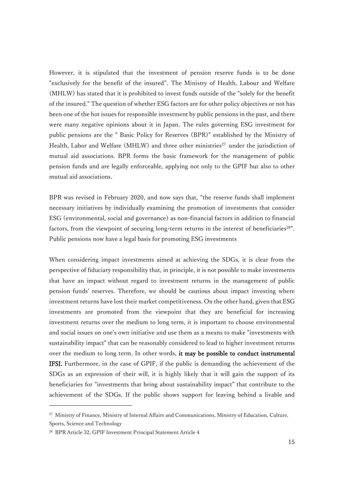However, it is stipulated that the investment of pension reserve funds is to be done "exclusively for the benefit of the insured". The Ministry of Health, Labour and Welfare (MHLW) has stated that it is prohibited to invest funds outside of the "solely for the benefit of the insured." The question of whether ESG factors are for other policy objectives or not has been one of the hot issues for responsible investment by public pensions in the past, and there were many negative opinions about it in Japan. The rules governing ESG investment for public pensions are the " Basic Policy for Reserves (BPR)" established by the Ministry of Health, Labor and Welfare (MHLW) and three other ministries<sup>27</sup> under the jurisdiction of mutual aid associations. BPR forms the basic framework for the management of public pension funds and are legally enforceable, applying not only to the GPIF but also to other mutual aid associations.

BPR was revised in February 2020, and now says that, "the reserve funds shall implement necessary initiatives by individually examining the promotion of investments that consider ESG (environmental, social and governance) as non-financial factors in addition to financial factors, from the viewpoint of securing long-term returns in the interest of beneficiaries<sup>28"</sup>. Public pensions now have a legal basis for promoting ESG investments

When considering impact investments aimed at achieving the SDGs, it is clear from the perspective of fiduciary responsibility that, in principle, it is not possible to make investments that have an impact without regard to investment returns in the management of public pension funds' reserves. Therefore, we should be cautious about impact investing where investment returns have lost their market competitiveness. On the other hand, given that ESG investments are promoted from the viewpoint that they are beneficial for increasing investment returns over the medium to long term, it is important to choose environmental and social issues on one's own initiative and use them as a means to make "investments with sustainability impact" that can be reasonably considered to lead to higher investment returns over the medium to long term. In other words, it may be possible to conduct instrumental IFSI. Furthermore, in the case of GPIF, if the public is demanding the achievement of the SDGs as an expression of their will, it is highly likely that it will gain the support of its beneficiaries for "investments that bring about sustainability impact" that contribute to the achievement of the SDGs. If the public shows support for leaving behind a livable and

<sup>&</sup>lt;sup>27</sup> Ministry of Finance, Ministry of Internal Affairs and Communications, Ministry of Education, Culture, Sports, Science and Technology

<sup>28</sup> BPR Article 32, GPIF Investment Principal Statement Article 4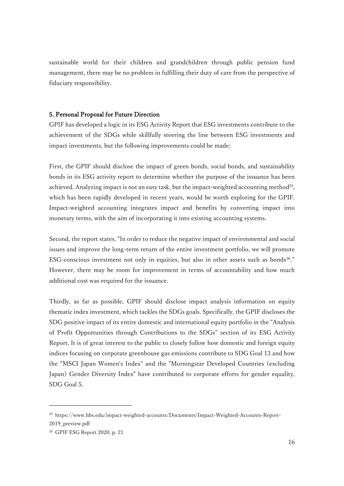sustainable world for their children and grandchildren through public pension fund management, there may be no problem in fulfilling their duty of care from the perspective of fiduciary responsibility.

## 5. Personal Proposal for Future Direction

GPIF has developed a logic in its ESG Activity Report that ESG investments contribute to the achievement of the SDGs while skillfully steering the line between ESG investments and impact investments, but the following improvements could be made:

First, the GPIF should disclose the impact of green bonds, social bonds, and sustainability bonds in its ESG activity report to determine whether the purpose of the issuance has been achieved. Analyzing impact is not an easy task, but the impact-weighted accounting method<sup>29</sup>, which has been rapidly developed in recent years, would be worth exploring for the GPIF. Impact-weighted accounting integrates impact and benefits by converting impact into monetary terms, with the aim of incorporating it into existing accounting systems.

Second, the report states, "In order to reduce the negative impact of environmental and social issues and improve the long-term return of the entire investment portfolio, we will promote ESG-conscious investment not only in equities, but also in other assets such as bonds<sup>30</sup>." However, there may be room for improvement in terms of accountability and how much additional cost was required for the issuance.

Thirdly, as far as possible, GPIF should disclose impact analysis information on equity thematic index investment, which tackles the SDGs goals. Specifically, the GPIF discloses the SDG positive impact of its entire domestic and international equity portfolio in the "Analysis of Profit Opportunities through Contributions to the SDGs" section of its ESG Activity Report. It is of great interest to the public to closely follow how domestic and foreign equity indices focusing on corporate greenhouse gas emissions contribute to SDG Goal 13 and how the "MSCI Japan Women's Index" and the "Morningstar Developed Countries (excluding Japan) Gender Diversity Index" have contributed to corporate efforts for gender equality, SDG Goal 5.

<sup>29</sup> https://www.hbs.edu/impact-weighted-accounts/Documents/Impact-Weighted-Accounts-Report-2019\_preview.pdf

<sup>30</sup> GPIF ESG Report 2020, p. 21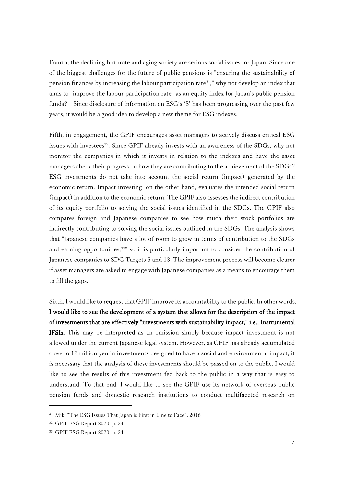Fourth, the declining birthrate and aging society are serious social issues for Japan. Since one of the biggest challenges for the future of public pensions is "ensuring the sustainability of pension finances by increasing the labour participation rate<sup>31</sup>," why not develop an index that aims to "improve the labour participation rate" as an equity index for Japan's public pension funds? Since disclosure of information on ESG's 'S' has been progressing over the past few years, it would be a good idea to develop a new theme for ESG indexes.

Fifth, in engagement, the GPIF encourages asset managers to actively discuss critical ESG issues with investees<sup>32</sup>. Since GPIF already invests with an awareness of the SDGs, why not monitor the companies in which it invests in relation to the indexes and have the asset managers check their progress on how they are contributing to the achievement of the SDGs? ESG investments do not take into account the social return (impact) generated by the economic return. Impact investing, on the other hand, evaluates the intended social return (impact) in addition to the economic return. The GPIF also assesses the indirect contribution of its equity portfolio to solving the social issues identified in the SDGs. The GPIF also compares foreign and Japanese companies to see how much their stock portfolios are indirectly contributing to solving the social issues outlined in the SDGs. The analysis shows that "Japanese companies have a lot of room to grow in terms of contribution to the SDGs and earning opportunities,<sup>33"</sup> so it is particularly important to consider the contribution of Japanese companies to SDG Targets 5 and 13. The improvement process will become clearer if asset managers are asked to engage with Japanese companies as a means to encourage them to fill the gaps.

Sixth, I would like to request that GPIF improve its accountability to the public. In other words, I would like to see the development of a system that allows for the description of the impact of investments that are effectively "investments with sustainability impact," i.e., Instrumental IFSIs. This may be interpreted as an omission simply because impact investment is not allowed under the current Japanese legal system. However, as GPIF has already accumulated close to 12 trillion yen in investments designed to have a social and environmental impact, it is necessary that the analysis of these investments should be passed on to the public. I would like to see the results of this investment fed back to the public in a way that is easy to understand. To that end, I would like to see the GPIF use its network of overseas public pension funds and domestic research institutions to conduct multifaceted research on

<sup>31</sup> Miki "The ESG Issues That Japan is First in Line to Face", 2016

<sup>32</sup> GPIF ESG Report 2020, p. 24

<sup>33</sup> GPIF ESG Report 2020, p. 24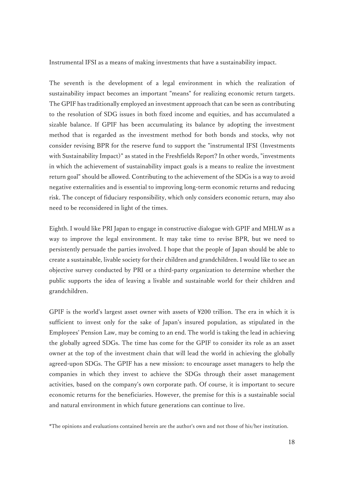Instrumental IFSI as a means of making investments that have a sustainability impact.

The seventh is the development of a legal environment in which the realization of sustainability impact becomes an important "means" for realizing economic return targets. The GPIF has traditionally employed an investment approach that can be seen as contributing to the resolution of SDG issues in both fixed income and equities, and has accumulated a sizable balance. If GPIF has been accumulating its balance by adopting the investment method that is regarded as the investment method for both bonds and stocks, why not consider revising BPR for the reserve fund to support the "instrumental IFSI (Investments with Sustainability Impact)" as stated in the Freshfields Report? In other words, "investments in which the achievement of sustainability impact goals is a means to realize the investment return goal" should be allowed. Contributing to the achievement of the SDGs is a way to avoid negative externalities and is essential to improving long-term economic returns and reducing risk. The concept of fiduciary responsibility, which only considers economic return, may also need to be reconsidered in light of the times.

Eighth. I would like PRI Japan to engage in constructive dialogue with GPIF and MHLW as a way to improve the legal environment. It may take time to revise BPR, but we need to persistently persuade the parties involved. I hope that the people of Japan should be able to create a sustainable, livable society for their children and grandchildren. I would like to see an objective survey conducted by PRI or a third-party organization to determine whether the public supports the idea of leaving a livable and sustainable world for their children and grandchildren.

GPIF is the world's largest asset owner with assets of ¥200 trillion. The era in which it is sufficient to invest only for the sake of Japan's insured population, as stipulated in the Employees' Pension Law, may be coming to an end. The world is taking the lead in achieving the globally agreed SDGs. The time has come for the GPIF to consider its role as an asset owner at the top of the investment chain that will lead the world in achieving the globally agreed-upon SDGs. The GPIF has a new mission: to encourage asset managers to help the companies in which they invest to achieve the SDGs through their asset management activities, based on the company's own corporate path. Of course, it is important to secure economic returns for the beneficiaries. However, the premise for this is a sustainable social and natural environment in which future generations can continue to live.

\*The opinions and evaluations contained herein are the author's own and not those of his/her institution.